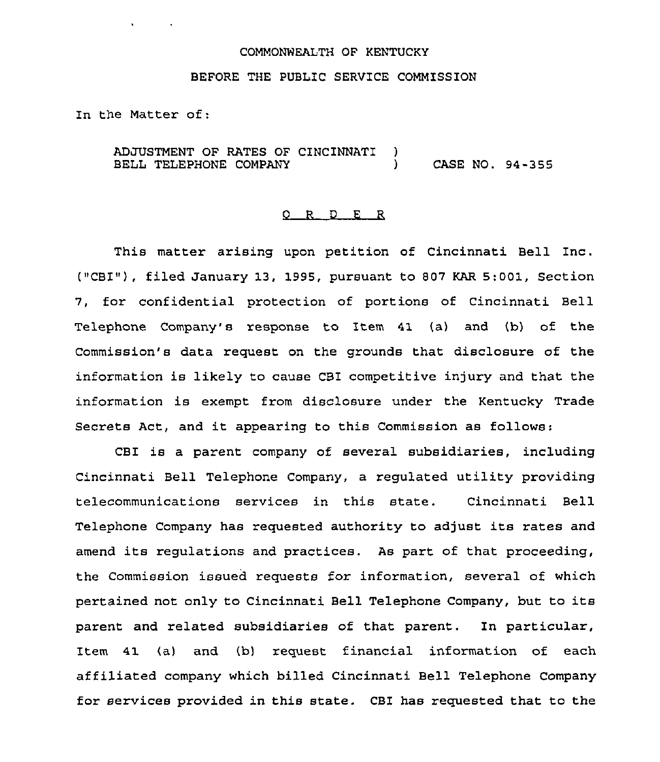## COMMONWEALTH OF KENTUCKY

## BEFORE THE PUBLIC SERVICE COMMISSION

In the Matter of:

ADJUSTMENT OF RATES OF CINCINNATI BELL TELEPHONE COMPANY  $\frac{1}{1}$ ) CASE NO. 94-355

## R D E R

This matter arising upon petition of Cincinnati Bell Inc. ("CBI"), filed January 13, 1995, pursuant to 807 KAR 5:001, Section 7, for confidential protection of portions of cincinnati Bell Telephone Company's respcnse to Item 41 (a) and (b) of the Commission's data request on the grounds that disclosure of the information is likely to cause CBI competitive injury and that the information is exempt from disclosure under the Kentucky Trade Secrets Act, and it appearing to this Commission as follows;

CBI is a parent company of several subsidiaries, including Cincinnati Bell Telephone Company, a regulated utility providing telecommunications services in this state. Cincinnati Bell Telephone Company has requested authority to adjust its rates and amend its regulations and practices. As part of that proceeding, the Commission issued requests for information, several of which pertained not only to Cincinnati Bell Telephone Company, but to its parent and related subsidiaries of that parent. In particular, Item 41 (a) and (b) request financial information of each affiliated company which billed Cincinnati Bell Telephone Company for services provided in this state. CBI has requested that to the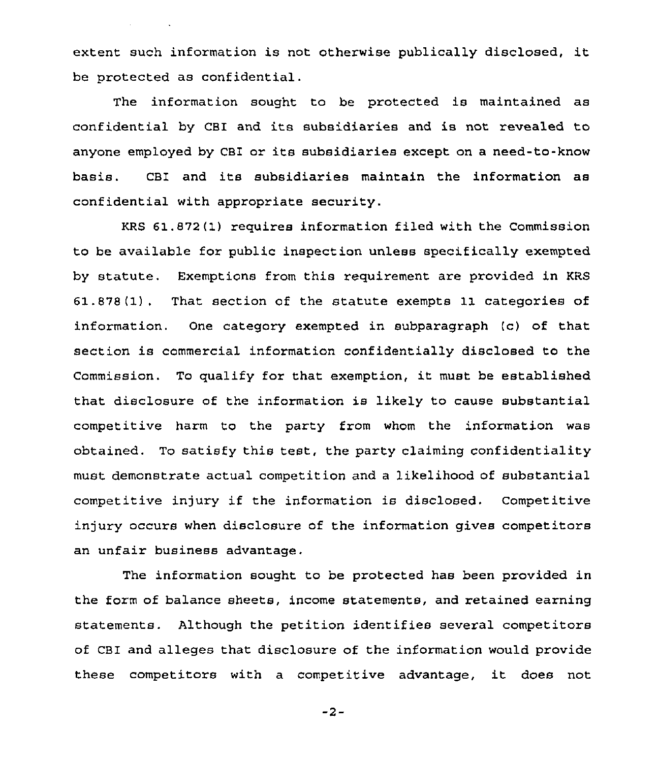extent such information is not otherwise publically disclosed, it be protected as confidential.

The information sought to be protected is maintained as confidential by CBI and its subsidiaries and is not revealed to anyone employed by CBI or its subsidiaries except on <sup>a</sup> need-to-know basis. CBI and its subsidiaries maintain the information as confidential with appropriate security.

KRS 61.872(1) requires information filed with the Commission to be available for public inspection unless specifically exempted by statute. Exemptions from this requirement are provided in KRS 61.878(1), That section of the statute exempts 11 categories of information. One category exempted in subparagraph (c) of that section is commercial information confidentially disclosed to the Commission. To qualify for that exemption, it must be established that disclosure of the information is likely to cause substantial competitive harm to the party from whom the information was obtained. To satisfy this test, the party claiming confidentiality must demonstrate actual competition and a likelihood of substantial competitive injury if the information is disclosed. Competitive injury occurs when disclosure of the information gives competitors an unfair business advantage.

The information sought to be protected has been provided in the form of balance sheets, income statements, and retained earning statements. Although the petition identifies several competitors of CBI and alleges that disclosure of the information would provide these competitors with <sup>a</sup> competitive advantage, it does not

 $-2-$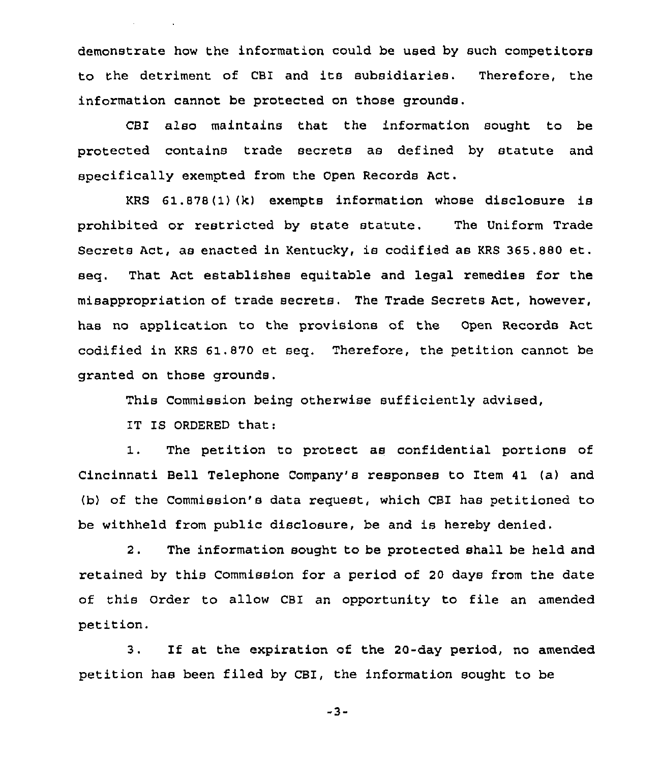demonstrate how the information could be used by such competitors to the detriment of CBI and its subsidiaries. Therefore, the information cannot be protected on those grounds.

CBI also maintains that the information sought to be protected contains trade secrets as defined by statute and specifically exempted from the Open Records Act.

KRS 61.878(1)(k) exempts information whose disclosure is prohibited or restricted by state statute. The Uniform Trade Secrets Act, as enacted in Kentucky, is codified as KRS 365.880 et. seq. That Act establishes equitable and legal remedies for the misappropriation of trade secrets. The Trade Secrets Act, however, has no application to the provisions of the Open Records Act codified in KRS 61.870 et seq. Therefore, the petition cannot be granted on those grounds,

This Commission being otherwise sufficiently advised,

IT IS ORDERED that:

1. The petition to protect as confidential portions of Cincinnati Bell Telephone Company's responses to Item 41 (a) and (b) of the Commission's data request, which CBI has petitioned to be withheld from public disclosure, be and is hereby denied.

2. The information sought to be protected shall be held and retained by this Commission for a period of 20 days from the date of this Order to allow CBI an opportunity to file an amended petition.

3. If at the expiration of the 20-day period, no amended petition has been filed by CBI, the information sought to be

-3-